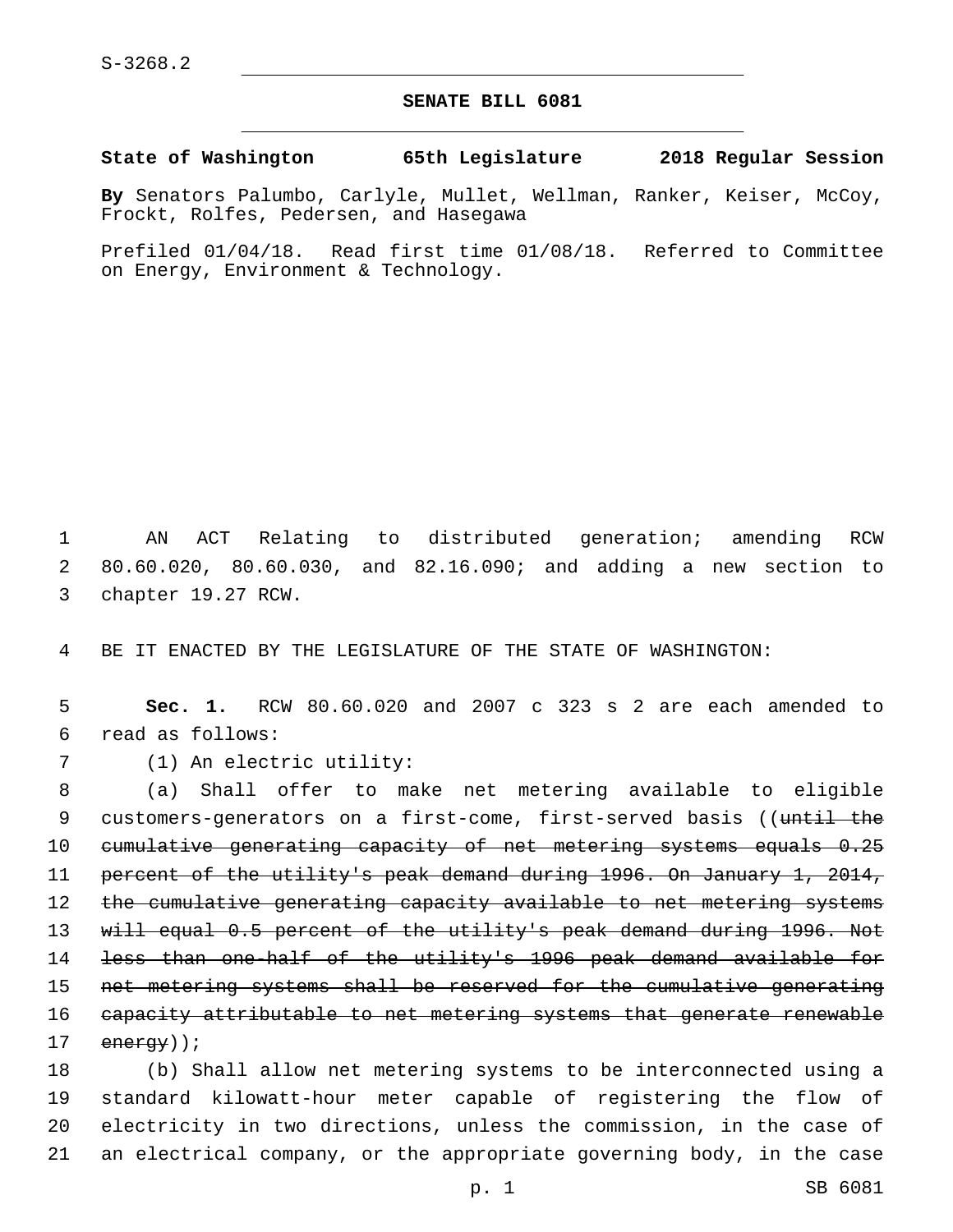## **SENATE BILL 6081**

**State of Washington 65th Legislature 2018 Regular Session**

**By** Senators Palumbo, Carlyle, Mullet, Wellman, Ranker, Keiser, McCoy, Frockt, Rolfes, Pedersen, and Hasegawa

Prefiled 01/04/18. Read first time 01/08/18. Referred to Committee on Energy, Environment & Technology.

1 AN ACT Relating to distributed generation; amending RCW 2 80.60.020, 80.60.030, and 82.16.090; and adding a new section to 3 chapter 19.27 RCW.

4 BE IT ENACTED BY THE LEGISLATURE OF THE STATE OF WASHINGTON:

5 **Sec. 1.** RCW 80.60.020 and 2007 c 323 s 2 are each amended to read as follows:6

7 (1) An electric utility:

8 (a) Shall offer to make net metering available to eligible 9 customers-generators on a first-come, first-served basis ((until the 10 cumulative generating capacity of net metering systems equals 0.25 11 percent of the utility's peak demand during 1996. On January 1, 2014, 12 the cumulative generating capacity available to net metering systems 13 will equal 0.5 percent of the utility's peak demand during 1996. Not 14 less than one-half of the utility's 1996 peak demand available for 15 net metering systems shall be reserved for the cumulative generating 16 capacity attributable to net metering systems that generate renewable 17 energy));

 (b) Shall allow net metering systems to be interconnected using a standard kilowatt-hour meter capable of registering the flow of electricity in two directions, unless the commission, in the case of an electrical company, or the appropriate governing body, in the case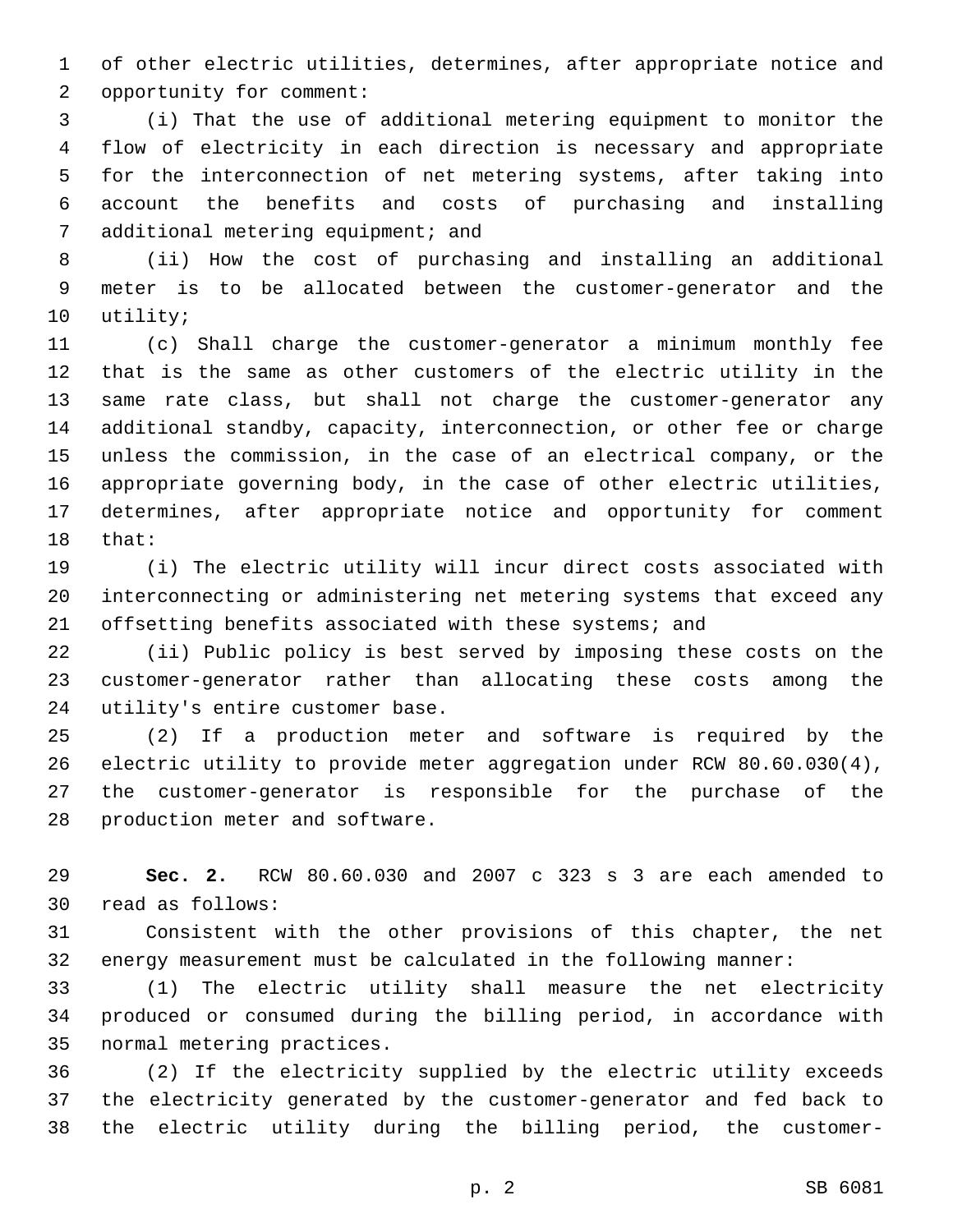of other electric utilities, determines, after appropriate notice and 2 opportunity for comment:

 (i) That the use of additional metering equipment to monitor the flow of electricity in each direction is necessary and appropriate for the interconnection of net metering systems, after taking into account the benefits and costs of purchasing and installing 7 additional metering equipment; and

 (ii) How the cost of purchasing and installing an additional meter is to be allocated between the customer-generator and the 10 utility;

 (c) Shall charge the customer-generator a minimum monthly fee that is the same as other customers of the electric utility in the same rate class, but shall not charge the customer-generator any additional standby, capacity, interconnection, or other fee or charge unless the commission, in the case of an electrical company, or the appropriate governing body, in the case of other electric utilities, determines, after appropriate notice and opportunity for comment 18 that:

 (i) The electric utility will incur direct costs associated with interconnecting or administering net metering systems that exceed any 21 offsetting benefits associated with these systems; and

 (ii) Public policy is best served by imposing these costs on the customer-generator rather than allocating these costs among the 24 utility's entire customer base.

 (2) If a production meter and software is required by the electric utility to provide meter aggregation under RCW 80.60.030(4), the customer-generator is responsible for the purchase of the 28 production meter and software.

 **Sec. 2.** RCW 80.60.030 and 2007 c 323 s 3 are each amended to 30 read as follows:

 Consistent with the other provisions of this chapter, the net energy measurement must be calculated in the following manner:

 (1) The electric utility shall measure the net electricity produced or consumed during the billing period, in accordance with 35 normal metering practices.

 (2) If the electricity supplied by the electric utility exceeds the electricity generated by the customer-generator and fed back to the electric utility during the billing period, the customer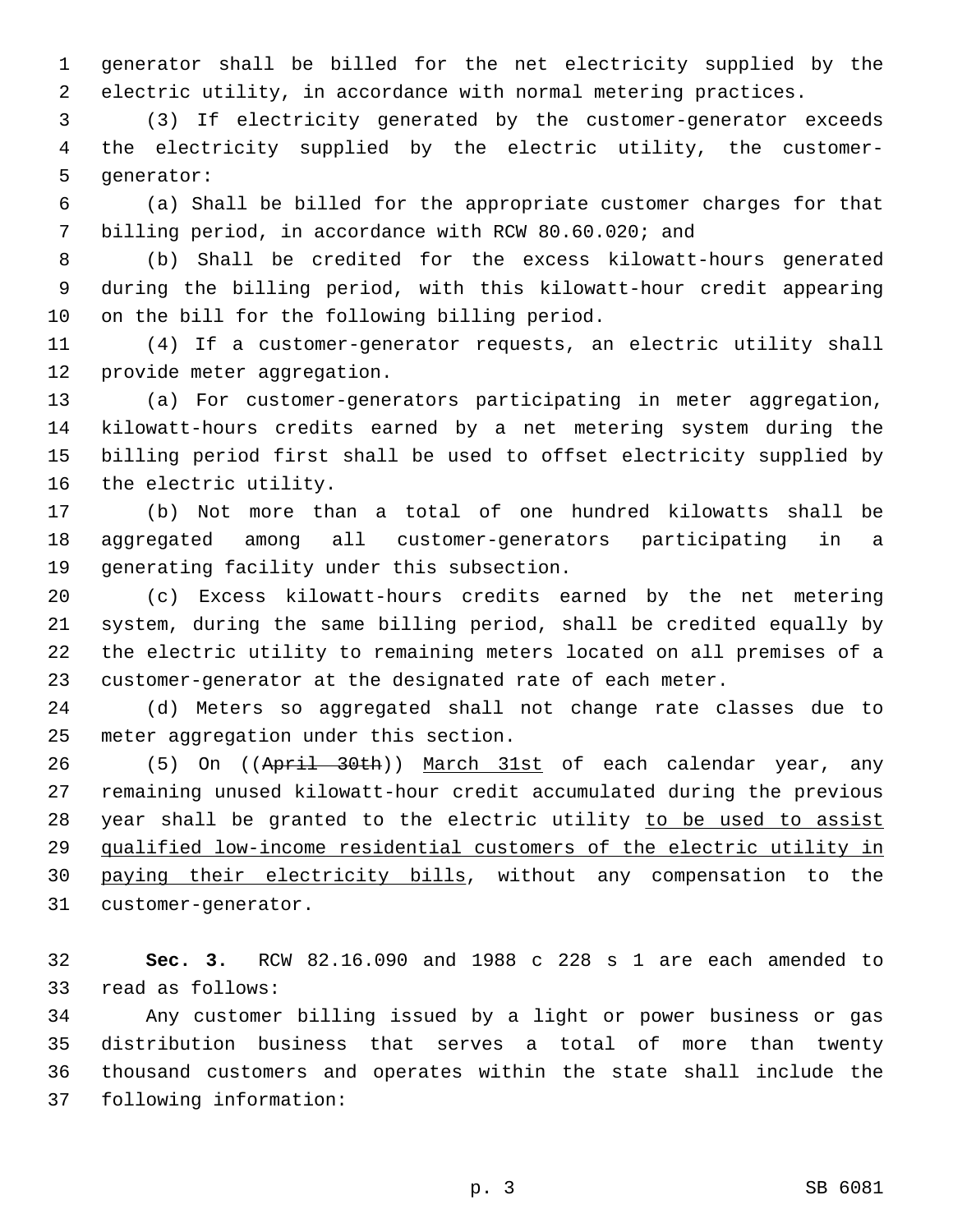generator shall be billed for the net electricity supplied by the electric utility, in accordance with normal metering practices.

 (3) If electricity generated by the customer-generator exceeds the electricity supplied by the electric utility, the customer-5 generator:

 (a) Shall be billed for the appropriate customer charges for that billing period, in accordance with RCW 80.60.020; and

 (b) Shall be credited for the excess kilowatt-hours generated during the billing period, with this kilowatt-hour credit appearing 10 on the bill for the following billing period.

 (4) If a customer-generator requests, an electric utility shall 12 provide meter aggregation.

 (a) For customer-generators participating in meter aggregation, kilowatt-hours credits earned by a net metering system during the billing period first shall be used to offset electricity supplied by 16 the electric utility.

 (b) Not more than a total of one hundred kilowatts shall be aggregated among all customer-generators participating in a 19 generating facility under this subsection.

 (c) Excess kilowatt-hours credits earned by the net metering system, during the same billing period, shall be credited equally by the electric utility to remaining meters located on all premises of a customer-generator at the designated rate of each meter.

 (d) Meters so aggregated shall not change rate classes due to 25 meter aggregation under this section.

26 (5) On ((April 30th)) March 31st of each calendar year, any remaining unused kilowatt-hour credit accumulated during the previous 28 year shall be granted to the electric utility to be used to assist qualified low-income residential customers of the electric utility in paying their electricity bills, without any compensation to the 31 customer-generator.

 **Sec. 3.** RCW 82.16.090 and 1988 c 228 s 1 are each amended to 33 read as follows:

 Any customer billing issued by a light or power business or gas distribution business that serves a total of more than twenty thousand customers and operates within the state shall include the 37 following information: